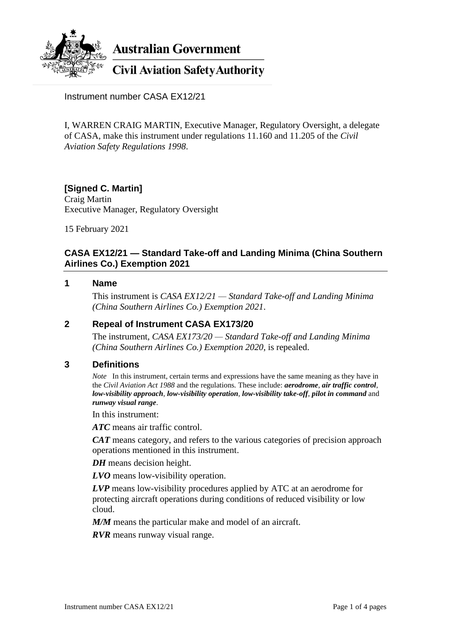

**Australian Government** 

# **Civil Aviation Safety Authority**

Instrument number CASA EX12/21

I, WARREN CRAIG MARTIN, Executive Manager, Regulatory Oversight, a delegate of CASA, make this instrument under regulations 11.160 and 11.205 of the *Civil Aviation Safety Regulations 1998*.

#### **[Signed C. Martin]** Craig Martin Executive Manager, Regulatory Oversight

15 February 2021

## **CASA EX12/21 — Standard Take-off and Landing Minima (China Southern Airlines Co.) Exemption 2021**

#### **1 Name**

This instrument is *CASA EX12/21 — Standard Take-off and Landing Minima (China Southern Airlines Co.) Exemption 2021*.

### **2 Repeal of Instrument CASA EX173/20**

The instrument, *CASA EX173/20 — Standard Take-off and Landing Minima (China Southern Airlines Co.) Exemption 2020*, is repealed.

#### **3 Definitions**

*Note* In this instrument, certain terms and expressions have the same meaning as they have in the *Civil Aviation Act 1988* and the regulations*.* These include: *aerodrome*, *air traffic control*, *low-visibility approach*, *low-visibility operation*, *low-visibility take-off*, *pilot in command* and *runway visual range*.

In this instrument:

*ATC* means air traffic control.

*CAT* means category, and refers to the various categories of precision approach operations mentioned in this instrument.

*DH* means decision height.

*LVO* means low-visibility operation.

*LVP* means low-visibility procedures applied by ATC at an aerodrome for protecting aircraft operations during conditions of reduced visibility or low cloud.

*M/M* means the particular make and model of an aircraft.

*RVR* means runway visual range.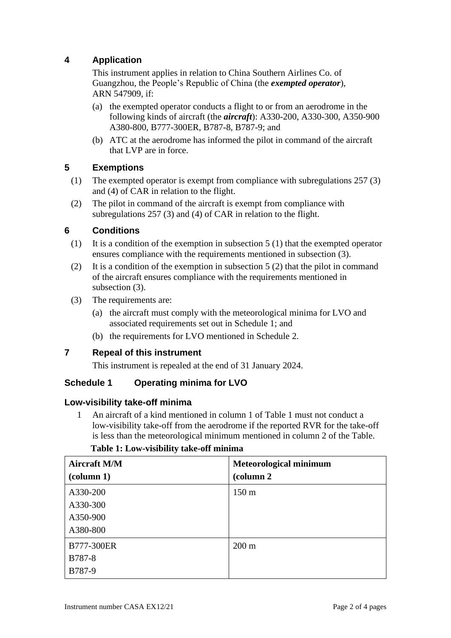# **4 Application**

This instrument applies in relation to China Southern Airlines Co. of Guangzhou, the People's Republic of China (the *exempted operator*), ARN 547909, if:

- (a) the exempted operator conducts a flight to or from an aerodrome in the following kinds of aircraft (the *aircraft*): A330-200, A330-300, A350-900 A380-800, B777-300ER, B787-8, B787-9; and
- (b) ATC at the aerodrome has informed the pilot in command of the aircraft that LVP are in force.

# **5 Exemptions**

- (1) The exempted operator is exempt from compliance with subregulations 257 (3) and (4) of CAR in relation to the flight.
- (2) The pilot in command of the aircraft is exempt from compliance with subregulations 257 (3) and (4) of CAR in relation to the flight.

## **6 Conditions**

- (1) It is a condition of the exemption in subsection 5 (1) that the exempted operator ensures compliance with the requirements mentioned in subsection (3).
- (2) It is a condition of the exemption in subsection 5 (2) that the pilot in command of the aircraft ensures compliance with the requirements mentioned in subsection  $(3)$ .
- (3) The requirements are:
	- (a) the aircraft must comply with the meteorological minima for LVO and associated requirements set out in Schedule 1; and
	- (b) the requirements for LVO mentioned in Schedule 2.

#### **7 Repeal of this instrument**

This instrument is repealed at the end of 31 January 2024.

#### **Schedule 1 Operating minima for LVO**

#### **Low-visibility take-off minima**

1 An aircraft of a kind mentioned in column 1 of Table 1 must not conduct a low-visibility take-off from the aerodrome if the reported RVR for the take-off is less than the meteorological minimum mentioned in column 2 of the Table.

| <b>Aircraft M/M</b>             | <b>Meteorological minimum</b> |  |
|---------------------------------|-------------------------------|--|
| $\left(\text{column } 1\right)$ | (column 2                     |  |
| A330-200                        | $150 \text{ m}$               |  |
| A330-300                        |                               |  |
| A350-900                        |                               |  |
| A380-800                        |                               |  |
| B777-300ER                      | $200 \text{ m}$               |  |
| <b>B787-8</b>                   |                               |  |
| B787-9                          |                               |  |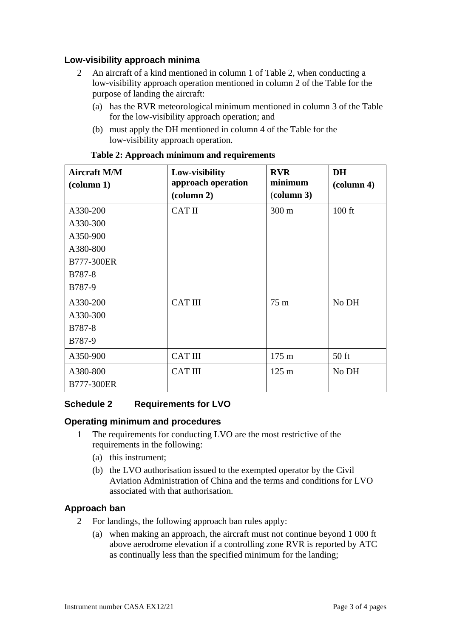## **Low-visibility approach minima**

- 2 An aircraft of a kind mentioned in column 1 of Table 2, when conducting a low-visibility approach operation mentioned in column 2 of the Table for the purpose of landing the aircraft:
	- (a) has the RVR meteorological minimum mentioned in column 3 of the Table for the low-visibility approach operation; and
	- (b) must apply the DH mentioned in column 4 of the Table for the low-visibility approach operation.

| <b>Aircraft M/M</b><br>$\left(\text{column } 1\right)$ | Low-visibility<br>approach operation<br>$\left(\text{column } 2\right)$ | <b>RVR</b><br>minimum<br>(column 3) | <b>DH</b><br>$\left(\text{column } 4\right)$ |
|--------------------------------------------------------|-------------------------------------------------------------------------|-------------------------------------|----------------------------------------------|
| A330-200                                               | <b>CAT II</b>                                                           | 300 m                               | $100$ ft                                     |
| A330-300                                               |                                                                         |                                     |                                              |
| A350-900                                               |                                                                         |                                     |                                              |
| A380-800                                               |                                                                         |                                     |                                              |
| <b>B777-300ER</b>                                      |                                                                         |                                     |                                              |
| <b>B787-8</b>                                          |                                                                         |                                     |                                              |
| B787-9                                                 |                                                                         |                                     |                                              |
| A330-200                                               | <b>CAT III</b>                                                          | $75 \text{ m}$                      | No DH                                        |
| A330-300                                               |                                                                         |                                     |                                              |
| <b>B787-8</b>                                          |                                                                         |                                     |                                              |
| B787-9                                                 |                                                                         |                                     |                                              |
| A350-900                                               | <b>CAT III</b>                                                          | 175 m                               | $50$ ft                                      |
| A380-800                                               | <b>CAT III</b>                                                          | $125 \text{ m}$                     | No DH                                        |
| <b>B777-300ER</b>                                      |                                                                         |                                     |                                              |

#### **Table 2: Approach minimum and requirements**

#### **Schedule 2 Requirements for LVO**

#### **Operating minimum and procedures**

- 1 The requirements for conducting LVO are the most restrictive of the requirements in the following:
	- (a) this instrument;
	- (b) the LVO authorisation issued to the exempted operator by the Civil Aviation Administration of China and the terms and conditions for LVO associated with that authorisation.

#### **Approach ban**

- 2 For landings, the following approach ban rules apply:
	- (a) when making an approach, the aircraft must not continue beyond 1 000 ft above aerodrome elevation if a controlling zone RVR is reported by ATC as continually less than the specified minimum for the landing;